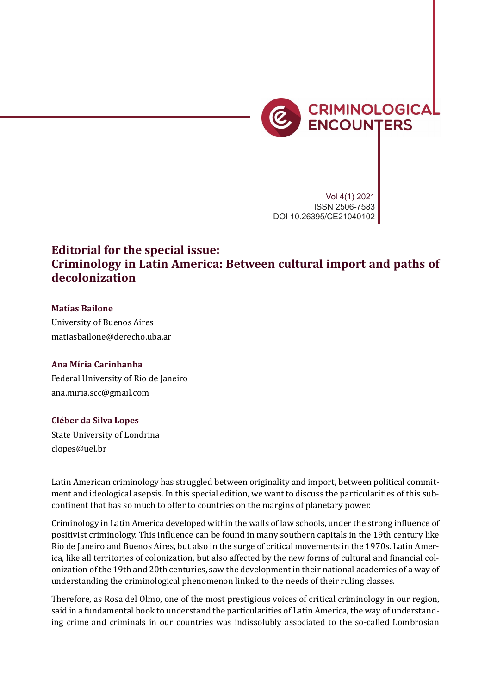

Vol 4(1) 2021 ISSN 2506-7583 DOI 10.26395/CE21040102

# **Editorial for the special issue: Criminology in Latin America: Between cultural import and paths of decolonization**

## **Matías Bailone**

University of Buenos Aires matiasbailone@derecho.uba.ar

## **Ana Míria Carinhanha**

Federal University of Rio de Janeiro ana.miria.scc@gmail.com

#### **Cléber da Silva Lopes**

State University of Londrina clopes@uel.br

Latin American criminology has struggled between originality and import, between political commitment and ideological asepsis. In this special edition, we want to discuss the particularities of this subcontinent that has so much to offer to countries on the margins of planetary power.

Criminology in Latin America developed within the walls of law schools, under the strong influence of positivist criminology. This influence can be found in many southern capitals in the 19th century like Rio de Janeiro and Buenos Aires, but also in the surge of critical movements in the 1970s. Latin America, like all territories of colonization, but also affected by the new forms of cultural and financial colonization of the 19th and 20th centuries, saw the development in their national academies of a way of understanding the criminological phenomenon linked to the needs of their ruling classes.

Therefore, as Rosa del Olmo, one of the most prestigious voices of critical criminology in our region, said in a fundamental book to understand the particularities of Latin America, the way of understanding crime and criminals in our countries was indissolubly associated to the so-called Lombrosian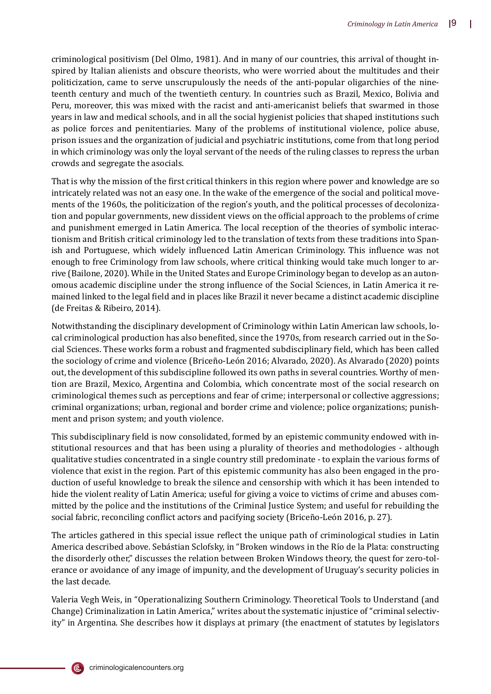criminological positivism (Del Olmo, 1981). And in many of our countries, this arrival of thought inspired by Italian alienists and obscure theorists, who were worried about the multitudes and their politicization, came to serve unscrupulously the needs of the anti-popular oligarchies of the nineteenth century and much of the twentieth century. In countries such as Brazil, Mexico, Bolivia and Peru, moreover, this was mixed with the racist and anti-americanist beliefs that swarmed in those years in law and medical schools, and in all the social hygienist policies that shaped institutions such as police forces and penitentiaries. Many of the problems of institutional violence, police abuse, prison issues and the organization of judicial and psychiatric institutions, come from that long period in which criminology was only the loyal servant of the needs of the ruling classes to repress the urban crowds and segregate the asocials.

That is why the mission of the first critical thinkers in this region where power and knowledge are so intricately related was not an easy one. In the wake of the emergence of the social and political movements of the 1960s, the politicization of the region's youth, and the political processes of decolonization and popular governments, new dissident views on the of�icial approach to the problems of crime and punishment emerged in Latin America. The local reception of the theories of symbolic interactionism and British critical criminology led to the translation of texts from these traditions into Spanish and Portuguese, which widely influenced Latin American Criminology. This influence was not enough to free Criminology from law schools, where critical thinking would take much longer to arrive (Bailone, 2020). While in the United States and Europe Criminology began to develop as an autonomous academic discipline under the strong influence of the Social Sciences, in Latin America it remained linked to the legal �ield and in places like Brazil it never became a distinct academic discipline (de Freitas & Ribeiro, 2014).

Notwithstanding the disciplinary development of Criminology within Latin American law schools, local criminological production has also benefited, since the 1970s, from research carried out in the Social Sciences. These works form a robust and fragmented subdisciplinary �ield, which has been called the sociology of crime and violence (Briceño-León 2016; Alvarado, 2020). As Alvarado (2020) points out, the development of this subdiscipline followed its own paths in several countries. Worthy of mention are Brazil, Mexico, Argentina and Colombia, which concentrate most of the social research on criminological themes such as perceptions and fear of crime; interpersonal or collective aggressions; criminal organizations; urban, regional and border crime and violence; police organizations; punishment and prison system; and youth violence.

This subdisciplinary field is now consolidated, formed by an epistemic community endowed with institutional resources and that has been using a plurality of theories and methodologies - although qualitative studies concentrated in a single country still predominate - to explain the various forms of violence that exist in the region. Part of this epistemic community has also been engaged in the production of useful knowledge to break the silence and censorship with which it has been intended to hide the violent reality of Latin America; useful for giving a voice to victims of crime and abuses committed by the police and the institutions of the Criminal Justice System; and useful for rebuilding the social fabric, reconciling conflict actors and pacifying society (Briceño-León 2016, p. 27).

The articles gathered in this special issue reflect the unique path of criminological studies in Latin America described above. Sebástian Sclofsky, in "Broken windows in the Rı́o de la Plata: constructing the disorderly other," discusses the relation between Broken Windows theory, the quest for zero-tolerance or avoidance of any image of impunity, and the development of Uruguay's security policies in the last decade.

Valeria Vegh Weis, in "Operationalizing Southern Criminology. Theoretical Tools to Understand (and Change) Criminalization in Latin America," writes about the systematic injustice of "criminal selectivity" in Argentina. She describes how it displays at primary (the enactment of statutes by legislators

(C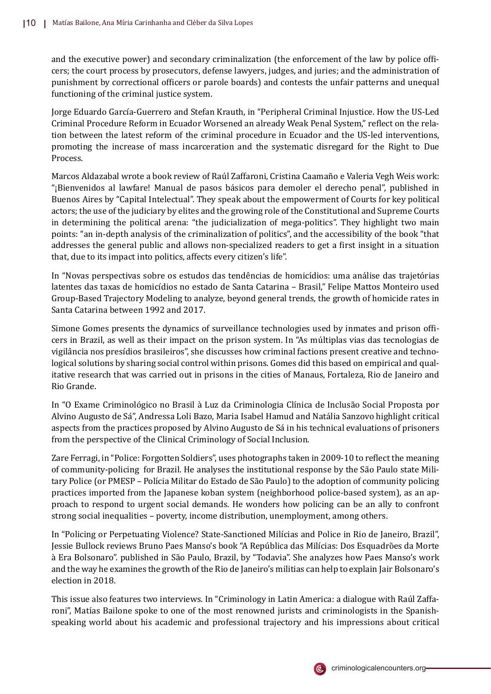and the executive power) and secondary criminalization (the enforcement of the law by police officers; the court process by prosecutors, defense lawyers, judges, and juries; and the administration of punishment by correctional officers or parole boards) and contests the unfair patterns and unequal functioning of the criminal justice system.

Jorge Eduardo García-Guerrero and Stefan Krauth, in "Peripheral Criminal Injustice. How the US-Led Criminal Procedure Reform in Ecuador Worsened an already Weak Penal System," reflect on the relation between the latest reform of the criminal procedure in Ecuador and the US-led interventions, promoting the increase of mass incarceration and the systematic disregard for the Right to Due Process.

Marcos Aldazabal wrote a book review of Raú l Zaffaroni, Cristina Caamañ o e Valeria Vegh Weis work: "¡Bienvenidos al lawfare! Manual de pasos básicos para demoler el derecho penal", published in Buenos Aires by "Capital Intelectual". They speak about the empowerment of Courts for key political actors; the use of the judiciary by elites and the growing role of the Constitutional and Supreme Courts in determining the political arena: "the judicialization of mega-politics". They highlight two main points: "an in-depth analysis of the criminalization of politics", and the accessibility of the book "that addresses the general public and allows non-specialized readers to get a first insight in a situation that, due to its impact into politics, affects every citizen's life".

In "Novas perspectivas sobre os estudos das tendências de homicídios: uma análise das trajetórias latentes das taxas de homicídios no estado de Santa Catarina - Brasil," Felipe Mattos Monteiro used Group-Based Trajectory Modeling to analyze, beyond general trends, the growth of homicide rates in Santa Catarina between 1992 and 2017.

Simone Gomes presents the dynamics of surveillance technologies used by inmates and prison officers in Brazil, as well as their impact on the prison system. In "As mú ltiplas vias das tecnologias de vigilância nos presídios brasileiros", she discusses how criminal factions present creative and technological solutions by sharing social control within prisons. Gomes did this based on empirical and qualitative research that was carried out in prisons in the cities of Manaus, Fortaleza, Rio de Janeiro and Rio Grande.

In "O Exame Criminológico no Brasil à Luz da Criminologia Clínica de Inclusão Social Proposta por Alvino Augusto de Sá ", Andressa Loli Bazo, Maria Isabel Hamud and Natália Sanzovo highlight critical aspects from the practices proposed by Alvino Augusto de Sá in his technical evaluations of prisoners from the perspective of the Clinical Criminology of Social Inclusion.

Zare Ferragi, in "Police: Forgotten Soldiers", uses photographs taken in 2009-10 to reflect the meaning of community-policing for Brazil. He analyses the institutional response by the São Paulo state Military Police (or PMESP - Polícia Militar do Estado de São Paulo) to the adoption of community policing practices imported from the Japanese koban system (neighborhood police-based system), as an approach to respond to urgent social demands. He wonders how policing can be an ally to confront strong social inequalities – poverty, income distribution, unemployment, among others.

In "Policing or Perpetuating Violence? State-Sanctioned Milı́cias and Police in Rio de Janeiro, Brazil", Jessie Bullock reviews Bruno Paes Manso's book "A República das Milícias: Dos Esquadrões da Morte à Era Bolsonaro". published in São Paulo, Brazil, by "Todavia". She analyzes how Paes Manso's work and the way he examines the growth of the Rio de Janeiro's militias can help to explain Jair Bolsonaro's election in 2018.

This issue also features two interviews. In "Criminology in Latin America: a dialogue with Raúl Zaffaroni", Matías Bailone spoke to one of the most renowned jurists and criminologists in the Spanishspeaking world about his academic and professional trajectory and his impressions about critical

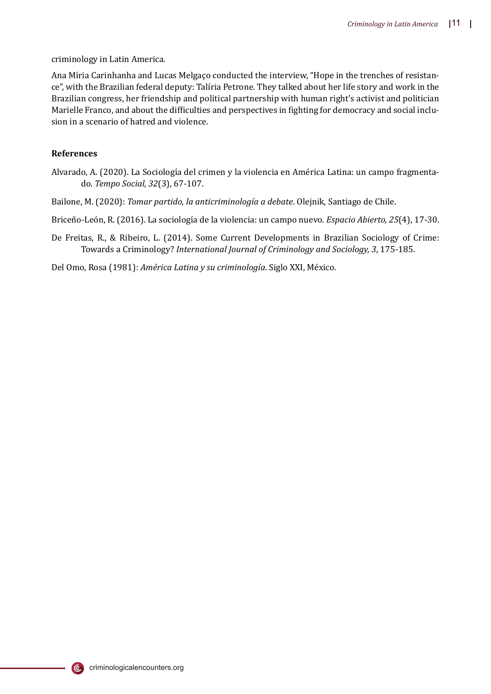criminology in Latin America.

Ana Míria Carinhanha and Lucas Melgaço conducted the interview, "Hope in the trenches of resistance", with the Brazilian federal deputy: Talı́ria Petrone. They talked about her life story and work in the Brazilian congress, her friendship and political partnership with human right's activist and politician Marielle Franco, and about the difficulties and perspectives in fighting for democracy and social inclusion in a scenario of hatred and violence.

### **References**

- Alvarado, A. (2020). La Sociología del crimen y la violencia en América Latina: un campo fragmentado. *Tempo Social, 32*(3), 67-107.
- Bailone, M. (2020): *Tomar partido, la anticriminología a debate*. Olejnik, Santiago de Chile.

Briceño-León, R. (2016). La sociología de la violencia: un campo nuevo. *Espacio Abierto, 25*(4), 17-30.

De Freitas, R., & Ribeiro, L. (2014). Some Current Developments in Brazilian Sociology of Crime: Towards a Criminology? *International Journal of Criminology and Sociology, 3*, 175-185.

Del Omo, Rosa (1981): *América Latina y su criminología*. Siglo XXI, México.